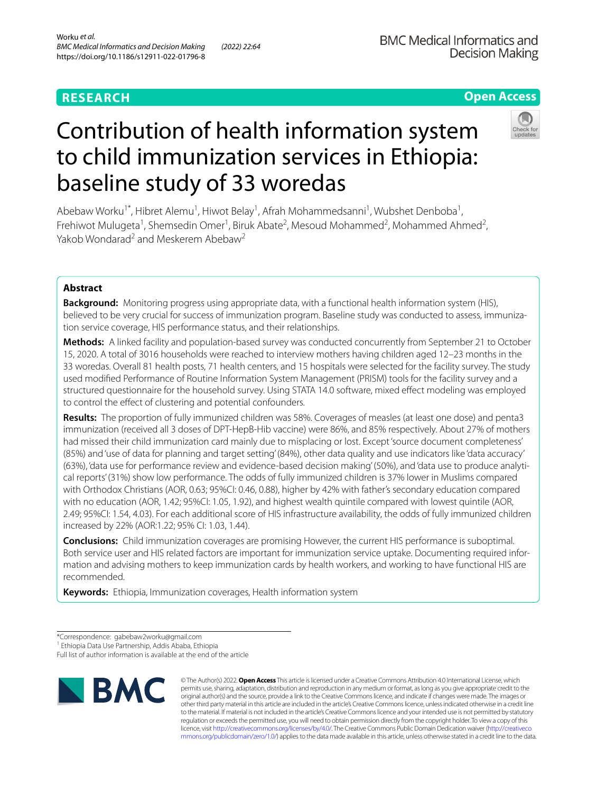# **RESEARCH**

# **BMC Medical Informatics and Decision Making**

# **Open Access**



# Contribution of health information system to child immunization services in Ethiopia: baseline study of 33 woredas

Abebaw Worku<sup>1\*</sup>, Hibret Alemu<sup>1</sup>, Hiwot Belay<sup>1</sup>, Afrah Mohammedsanni<sup>1</sup>, Wubshet Denboba<sup>1</sup>, Frehiwot Mulugeta<sup>1</sup>, Shemsedin Omer<sup>1</sup>, Biruk Abate<sup>2</sup>, Mesoud Mohammed<sup>2</sup>, Mohammed Ahmed<sup>2</sup>, Yakob Wondarad<sup>2</sup> and Meskerem Abebaw<sup>2</sup>

# **Abstract**

**Background:** Monitoring progress using appropriate data, with a functional health information system (HIS), believed to be very crucial for success of immunization program. Baseline study was conducted to assess, immunization service coverage, HIS performance status, and their relationships.

**Methods:** A linked facility and population-based survey was conducted concurrently from September 21 to October 15, 2020. A total of 3016 households were reached to interview mothers having children aged 12–23 months in the 33 woredas. Overall 81 health posts, 71 health centers, and 15 hospitals were selected for the facility survey. The study used modifed Performance of Routine Information System Management (PRISM) tools for the facility survey and a structured questionnaire for the household survey. Using STATA 14.0 software, mixed efect modeling was employed to control the efect of clustering and potential confounders.

**Results:** The proportion of fully immunized children was 58%. Coverages of measles (at least one dose) and penta3 immunization (received all 3 doses of DPT-HepB-Hib vaccine) were 86%, and 85% respectively. About 27% of mothers had missed their child immunization card mainly due to misplacing or lost. Except 'source document completeness' (85%) and 'use of data for planning and target setting' (84%), other data quality and use indicators like 'data accuracy' (63%), 'data use for performance review and evidence-based decision making' (50%), and 'data use to produce analytical reports' (31%) show low performance. The odds of fully immunized children is 37% lower in Muslims compared with Orthodox Christians (AOR, 0.63; 95%CI: 0.46, 0.88), higher by 42% with father's secondary education compared with no education (AOR, 1.42; 95%CI: 1.05, 1.92), and highest wealth quintile compared with lowest quintile (AOR, 2.49; 95%CI: 1.54, 4.03). For each additional score of HIS infrastructure availability, the odds of fully immunized children increased by 22% (AOR:1.22; 95% CI: 1.03, 1.44).

**Conclusions:** Child immunization coverages are promising However, the current HIS performance is suboptimal. Both service user and HIS related factors are important for immunization service uptake. Documenting required information and advising mothers to keep immunization cards by health workers, and working to have functional HIS are recommended.

**Keywords:** Ethiopia, Immunization coverages, Health information system

<sup>1</sup> Ethiopia Data Use Partnership, Addis Ababa, Ethiopia

Full list of author information is available at the end of the article



© The Author(s) 2022. **Open Access** This article is licensed under a Creative Commons Attribution 4.0 International License, which permits use, sharing, adaptation, distribution and reproduction in any medium or format, as long as you give appropriate credit to the original author(s) and the source, provide a link to the Creative Commons licence, and indicate if changes were made. The images or other third party material in this article are included in the article's Creative Commons licence, unless indicated otherwise in a credit line to the material. If material is not included in the article's Creative Commons licence and your intended use is not permitted by statutory regulation or exceeds the permitted use, you will need to obtain permission directly from the copyright holder. To view a copy of this licence, visit [http://creativecommons.org/licenses/by/4.0/.](http://creativecommons.org/licenses/by/4.0/) The Creative Commons Public Domain Dedication waiver ([http://creativeco](http://creativecommons.org/publicdomain/zero/1.0/) [mmons.org/publicdomain/zero/1.0/](http://creativecommons.org/publicdomain/zero/1.0/)) applies to the data made available in this article, unless otherwise stated in a credit line to the data.

<sup>\*</sup>Correspondence: gabebaw2worku@gmail.com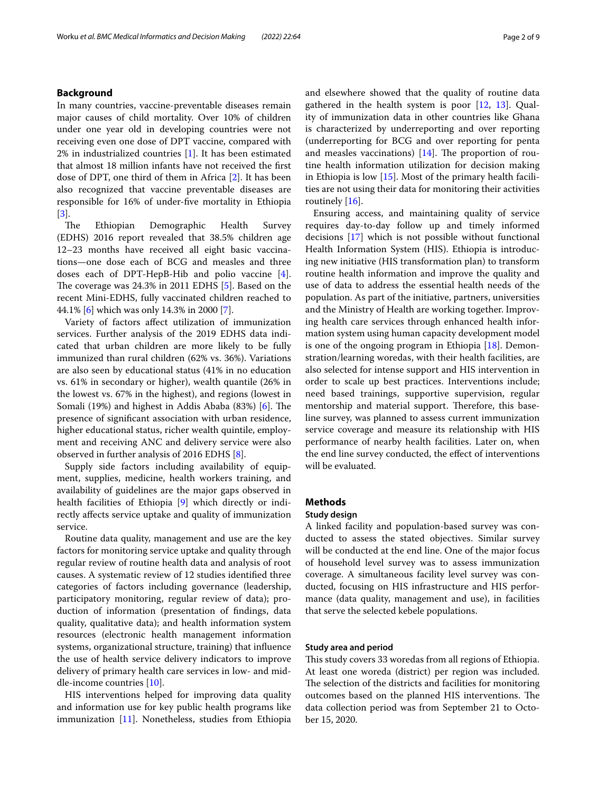# **Background**

In many countries, vaccine-preventable diseases remain major causes of child mortality. Over 10% of children under one year old in developing countries were not receiving even one dose of DPT vaccine, compared with 2% in industrialized countries [\[1](#page-7-0)]. It has been estimated that almost 18 million infants have not received the frst dose of DPT, one third of them in Africa [[2\]](#page-7-1). It has been also recognized that vaccine preventable diseases are responsible for 16% of under-fve mortality in Ethiopia [[3\]](#page-8-0).

The Ethiopian Demographic Health Survey (EDHS) 2016 report revealed that 38.5% children age 12–23 months have received all eight basic vaccinations—one dose each of BCG and measles and three doses each of DPT-HepB-Hib and polio vaccine [\[4](#page-8-1)]. The coverage was  $24.3\%$  in 2011 EDHS  $[5]$  $[5]$ . Based on the recent Mini-EDHS, fully vaccinated children reached to 44.1% [\[6\]](#page-8-3) which was only 14.3% in 2000 [[7\]](#page-8-4).

Variety of factors afect utilization of immunization services. Further analysis of the 2019 EDHS data indicated that urban children are more likely to be fully immunized than rural children (62% vs. 36%). Variations are also seen by educational status (41% in no education vs. 61% in secondary or higher), wealth quantile (26% in the lowest vs. 67% in the highest), and regions (lowest in Somali (19%) and highest in Addis Ababa  $(83%)$  [[6\]](#page-8-3). The presence of signifcant association with urban residence, higher educational status, richer wealth quintile, employment and receiving ANC and delivery service were also observed in further analysis of 2016 EDHS [\[8](#page-8-5)].

Supply side factors including availability of equipment, supplies, medicine, health workers training, and availability of guidelines are the major gaps observed in health facilities of Ethiopia [[9\]](#page-8-6) which directly or indirectly afects service uptake and quality of immunization service.

Routine data quality, management and use are the key factors for monitoring service uptake and quality through regular review of routine health data and analysis of root causes. A systematic review of 12 studies identifed three categories of factors including governance (leadership, participatory monitoring, regular review of data); production of information (presentation of fndings, data quality, qualitative data); and health information system resources (electronic health management information systems, organizational structure, training) that infuence the use of health service delivery indicators to improve delivery of primary health care services in low- and middle-income countries [[10\]](#page-8-7).

HIS interventions helped for improving data quality and information use for key public health programs like immunization [\[11](#page-8-8)]. Nonetheless, studies from Ethiopia and elsewhere showed that the quality of routine data gathered in the health system is poor [[12,](#page-8-9) [13\]](#page-8-10). Quality of immunization data in other countries like Ghana is characterized by underreporting and over reporting (underreporting for BCG and over reporting for penta and measles vaccinations)  $[14]$ . The proportion of routine health information utilization for decision making in Ethiopia is low [\[15](#page-8-12)]. Most of the primary health facilities are not using their data for monitoring their activities routinely [\[16\]](#page-8-13).

Ensuring access, and maintaining quality of service requires day-to-day follow up and timely informed decisions [[17\]](#page-8-14) which is not possible without functional Health Information System (HIS). Ethiopia is introducing new initiative (HIS transformation plan) to transform routine health information and improve the quality and use of data to address the essential health needs of the population. As part of the initiative, partners, universities and the Ministry of Health are working together. Improving health care services through enhanced health information system using human capacity development model is one of the ongoing program in Ethiopia [\[18\]](#page-8-15). Demonstration/learning woredas, with their health facilities, are also selected for intense support and HIS intervention in order to scale up best practices. Interventions include; need based trainings, supportive supervision, regular mentorship and material support. Therefore, this baseline survey, was planned to assess current immunization service coverage and measure its relationship with HIS performance of nearby health facilities. Later on, when the end line survey conducted, the efect of interventions will be evaluated.

## **Methods**

#### **Study design**

A linked facility and population-based survey was conducted to assess the stated objectives. Similar survey will be conducted at the end line. One of the major focus of household level survey was to assess immunization coverage. A simultaneous facility level survey was conducted, focusing on HIS infrastructure and HIS performance (data quality, management and use), in facilities that serve the selected kebele populations.

#### **Study area and period**

This study covers 33 woredas from all regions of Ethiopia. At least one woreda (district) per region was included. The selection of the districts and facilities for monitoring outcomes based on the planned HIS interventions. The data collection period was from September 21 to October 15, 2020.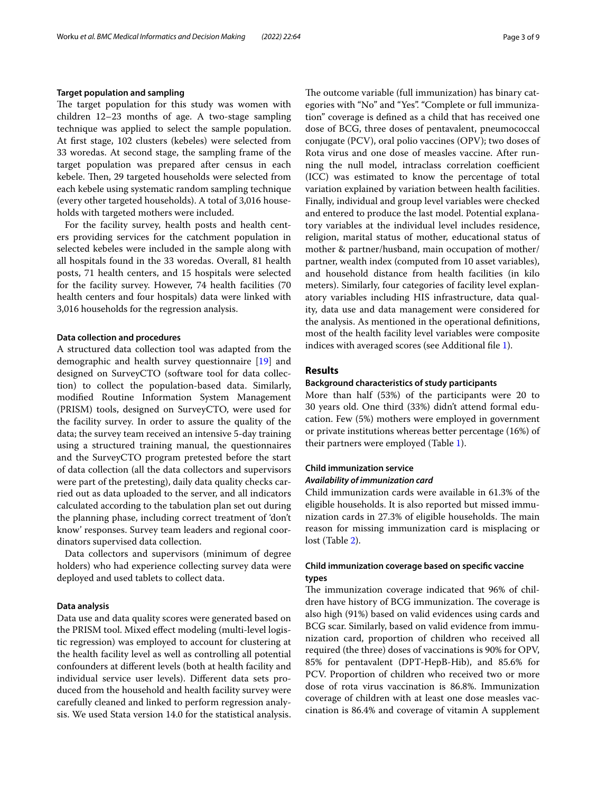## **Target population and sampling**

The target population for this study was women with children 12–23 months of age. A two-stage sampling technique was applied to select the sample population. At frst stage, 102 clusters (kebeles) were selected from 33 woredas. At second stage, the sampling frame of the target population was prepared after census in each kebele. Then, 29 targeted households were selected from each kebele using systematic random sampling technique (every other targeted households). A total of 3,016 households with targeted mothers were included.

For the facility survey, health posts and health centers providing services for the catchment population in selected kebeles were included in the sample along with all hospitals found in the 33 woredas. Overall, 81 health posts, 71 health centers, and 15 hospitals were selected for the facility survey. However, 74 health facilities (70 health centers and four hospitals) data were linked with 3,016 households for the regression analysis.

#### **Data collection and procedures**

A structured data collection tool was adapted from the demographic and health survey questionnaire [\[19\]](#page-8-16) and designed on SurveyCTO (software tool for data collection) to collect the population-based data. Similarly, modifed Routine Information System Management (PRISM) tools, designed on SurveyCTO, were used for the facility survey. In order to assure the quality of the data; the survey team received an intensive 5-day training using a structured training manual, the questionnaires and the SurveyCTO program pretested before the start of data collection (all the data collectors and supervisors were part of the pretesting), daily data quality checks carried out as data uploaded to the server, and all indicators calculated according to the tabulation plan set out during the planning phase, including correct treatment of 'don't know' responses. Survey team leaders and regional coordinators supervised data collection.

Data collectors and supervisors (minimum of degree holders) who had experience collecting survey data were deployed and used tablets to collect data.

#### **Data analysis**

Data use and data quality scores were generated based on the PRISM tool. Mixed efect modeling (multi-level logistic regression) was employed to account for clustering at the health facility level as well as controlling all potential confounders at diferent levels (both at health facility and individual service user levels). Diferent data sets produced from the household and health facility survey were carefully cleaned and linked to perform regression analysis. We used Stata version 14.0 for the statistical analysis. The outcome variable (full immunization) has binary categories with "No" and "Yes". "Complete or full immunization" coverage is defned as a child that has received one dose of BCG, three doses of pentavalent, pneumococcal conjugate (PCV), oral polio vaccines (OPV); two doses of Rota virus and one dose of measles vaccine. After running the null model, intraclass correlation coefficient (ICC) was estimated to know the percentage of total variation explained by variation between health facilities. Finally, individual and group level variables were checked and entered to produce the last model. Potential explanatory variables at the individual level includes residence, religion, marital status of mother, educational status of mother & partner/husband, main occupation of mother/ partner, wealth index (computed from 10 asset variables), and household distance from health facilities (in kilo meters). Similarly, four categories of facility level explanatory variables including HIS infrastructure, data quality, data use and data management were considered for the analysis. As mentioned in the operational defnitions, most of the health facility level variables were composite indices with averaged scores (see Additional fle [1](#page-7-2)).

# **Results**

#### **Background characteristics of study participants**

More than half (53%) of the participants were 20 to 30 years old. One third (33%) didn't attend formal education. Few (5%) mothers were employed in government or private institutions whereas better percentage (16%) of their partners were employed (Table [1\)](#page-3-0).

# **Child immunization service** *Availability of immunization card*

Child immunization cards were available in 61.3% of the eligible households. It is also reported but missed immunization cards in 27.3% of eligible households. The main reason for missing immunization card is misplacing or lost (Table [2\)](#page-3-1).

# **Child immunization coverage based on specifc vaccine types**

The immunization coverage indicated that 96% of children have history of BCG immunization. The coverage is also high (91%) based on valid evidences using cards and BCG scar. Similarly, based on valid evidence from immunization card, proportion of children who received all required (the three) doses of vaccinations is 90% for OPV, 85% for pentavalent (DPT-HepB-Hib), and 85.6% for PCV. Proportion of children who received two or more dose of rota virus vaccination is 86.8%. Immunization coverage of children with at least one dose measles vaccination is 86.4% and coverage of vitamin A supplement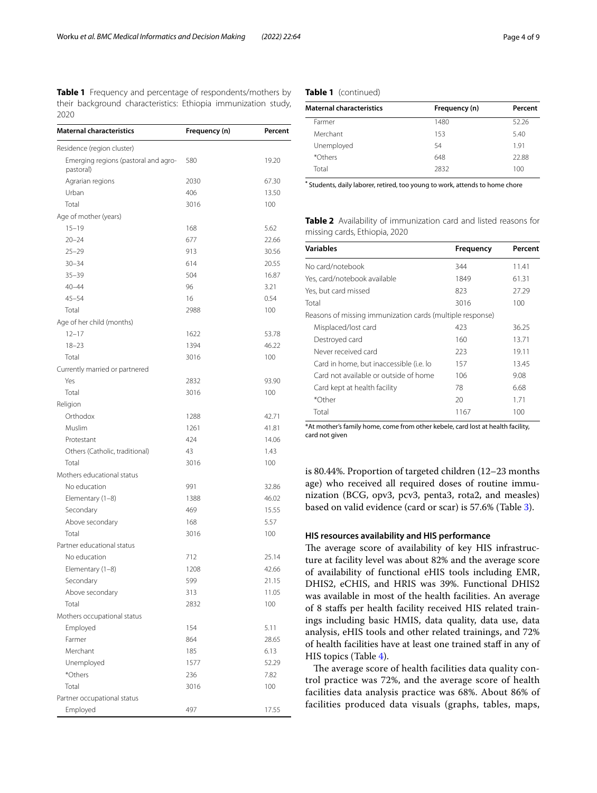<span id="page-3-0"></span>**Table 1** Frequency and percentage of respondents/mothers by their background characteristics: Ethiopia immunization study, 2020

| <b>Maternal characteristics</b>                   | Frequency (n) | Percent |
|---------------------------------------------------|---------------|---------|
| Residence (region cluster)                        |               |         |
| Emerging regions (pastoral and agro-<br>pastoral) | 580           | 19.20   |
| Agrarian regions                                  | 2030          | 67.30   |
| Urban                                             | 406           | 13.50   |
| Total                                             | 3016          | 100     |
| Age of mother (years)                             |               |         |
| $15 - 19$                                         | 168           | 5.62    |
| $20 - 24$                                         | 677           | 22.66   |
| $25 - 29$                                         | 913           | 30.56   |
| $30 - 34$                                         | 614           | 20.55   |
| $35 - 39$                                         | 504           | 16.87   |
| $40 - 44$                                         | 96            | 3.21    |
| $45 - 54$                                         | 16            | 0.54    |
| Total                                             | 2988          | 100     |
| Age of her child (months)                         |               |         |
| $12 - 17$                                         | 1622          | 53.78   |
| $18 - 23$                                         | 1394          | 46.22   |
| Total                                             | 3016          | 100     |
| Currently married or partnered                    |               |         |
| Yes                                               | 2832          | 93.90   |
| Total                                             | 3016          | 100     |
| Religion                                          |               |         |
| Orthodox                                          | 1288          | 42.71   |
| Muslim                                            | 1261          | 41.81   |
| Protestant                                        | 424           | 14.06   |
| Others (Catholic, traditional)                    | 43            | 1.43    |
| Total                                             | 3016          | 100     |
| Mothers educational status                        |               |         |
| No education                                      | 991           | 32.86   |
| Elementary (1-8)                                  | 1388          | 46.02   |
| Secondary                                         | 469           | 15.55   |
| Above secondary                                   | 168           | 5.57    |
| Total                                             | 3016          | 100     |
| Partner educational status                        |               |         |
| No education                                      | 712           | 25.14   |
| Elementary (1–8)                                  | 1208          | 42.66   |
| Secondary                                         | 599           | 21.15   |
| Above secondary                                   | 313           | 11.05   |
| Total                                             | 2832          | 100     |
| Mothers occupational status                       |               |         |
| Employed                                          | 154           | 5.11    |
| Farmer                                            | 864           | 28.65   |
| Merchant                                          | 185           | 6.13    |
| Unemployed                                        | 1577          | 52.29   |
| *Others                                           | 236           | 7.82    |
| Total                                             | 3016          | 100     |
| Partner occupational status                       |               |         |
| Employed                                          | 497           | 17.55   |

## **Table 1** (continued)

| <b>Maternal characteristics</b> | Frequency (n) | Percent |  |
|---------------------------------|---------------|---------|--|
| Farmer                          | 1480          | 52.26   |  |
| Merchant                        | 153           | 5.40    |  |
| Unemployed                      | 54            | 1.91    |  |
| *Others                         | 648           | 22.88   |  |
| Total                           | 2832          | 100     |  |

**\*** Students, daily laborer, retired, too young to work, attends to home chore

<span id="page-3-1"></span>**Table 2** Availability of immunization card and listed reasons for missing cards, Ethiopia, 2020

| <b>Variables</b>                                          | Frequency | Percent |
|-----------------------------------------------------------|-----------|---------|
| No card/notebook                                          | 344       | 11.41   |
| Yes, card/notebook available                              | 1849      | 61.31   |
| Yes, but card missed                                      | 823       | 27.29   |
| Total                                                     | 3016      | 100     |
| Reasons of missing immunization cards (multiple response) |           |         |
| Misplaced/lost card                                       | 423       | 36.25   |
| Destroyed card                                            | 160       | 13.71   |
| Never received card                                       | 223       | 19.11   |
| Card in home, but inaccessible (i.e. lo                   | 157       | 13.45   |
| Card not available or outside of home                     | 106       | 9.08    |
| Card kept at health facility                              | 78        | 6.68    |
| *Other                                                    | 20        | 1.71    |
| Total                                                     | 1167      | 100     |

\*At mother's family home, come from other kebele, card lost at health facility, card not given

is 80.44%. Proportion of targeted children (12–23 months age) who received all required doses of routine immunization (BCG, opv3, pcv3, penta3, rota2, and measles) based on valid evidence (card or scar) is 57.6% (Table [3\)](#page-4-0).

## **HIS resources availability and HIS performance**

The average score of availability of key HIS infrastructure at facility level was about 82% and the average score of availability of functional eHIS tools including EMR, DHIS2, eCHIS, and HRIS was 39%. Functional DHIS2 was available in most of the health facilities. An average of 8 stafs per health facility received HIS related trainings including basic HMIS, data quality, data use, data analysis, eHIS tools and other related trainings, and 72% of health facilities have at least one trained staf in any of HIS topics (Table [4\)](#page-4-1).

The average score of health facilities data quality control practice was 72%, and the average score of health facilities data analysis practice was 68%. About 86% of facilities produced data visuals (graphs, tables, maps,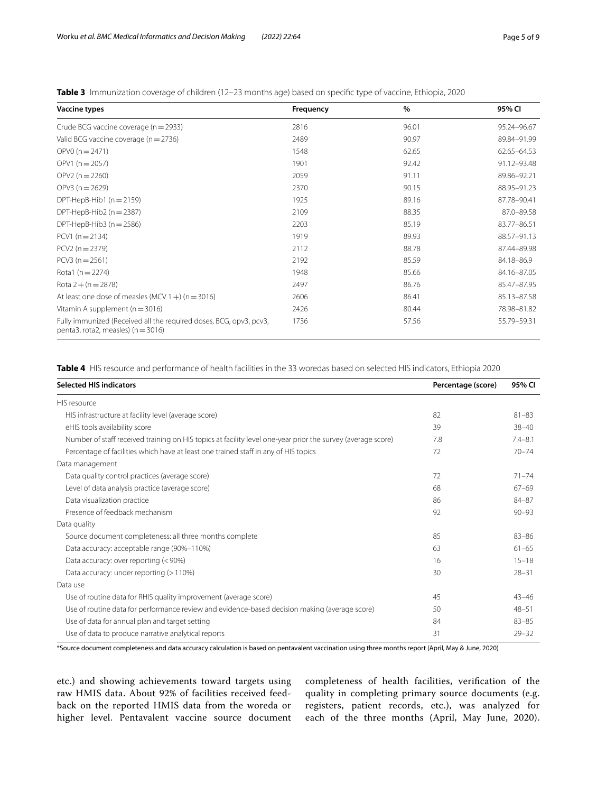<span id="page-4-0"></span>**Table 3** Immunization coverage of children (12–23 months age) based on specifc type of vaccine, Ethiopia, 2020

| <b>Vaccine types</b>                                                                                         | Frequency | $\%$  | 95% CI        |
|--------------------------------------------------------------------------------------------------------------|-----------|-------|---------------|
| Crude BCG vaccine coverage (n = 2933)                                                                        | 2816      | 96.01 | 95.24-96.67   |
| Valid BCG vaccine coverage ( $n = 2736$ )                                                                    | 2489      | 90.97 | 89.84-91.99   |
| $OPVO (n = 2471)$                                                                                            | 1548      | 62.65 | 62.65-64.53   |
| $OPV1(n=2057)$                                                                                               | 1901      | 92.42 | 91.12-93.48   |
| $OPV2(n=2260)$                                                                                               | 2059      | 91.11 | 89.86-92.21   |
| $OPV3(n=2629)$                                                                                               | 2370      | 90.15 | 88.95-91.23   |
| DPT-HepB-Hib1 $(n = 2159)$                                                                                   | 1925      | 89.16 | 87.78-90.41   |
| DPT-HepB-Hib2 ( $n = 2387$ )                                                                                 | 2109      | 88.35 | 87.0-89.58    |
| DPT-HepB-Hib3 $(n = 2586)$                                                                                   | 2203      | 85.19 | 83.77-86.51   |
| $PCV1(n=2134)$                                                                                               | 1919      | 89.93 | 88.57-91.13   |
| $PCV2 (n = 2379)$                                                                                            | 2112      | 88.78 | 87.44-89.98   |
| $PCV3(n=2561)$                                                                                               | 2192      | 85.59 | 84.18-86.9    |
| Rota1 ( $n = 2274$ )                                                                                         | 1948      | 85.66 | 84.16-87.05   |
| Rota $2 + (n = 2878)$                                                                                        | 2497      | 86.76 | 85.47-87.95   |
| At least one dose of measles (MCV $1 +$ ) (n = 3016)                                                         | 2606      | 86.41 | 85.13-87.58   |
| Vitamin A supplement ( $n = 3016$ )                                                                          | 2426      | 80.44 | 78.98-81.82   |
| Fully immunized (Received all the required doses, BCG, opv3, pcv3,<br>penta3, rota2, measles) ( $n = 3016$ ) | 1736      | 57.56 | 55.79 - 59.31 |

<span id="page-4-1"></span>**Table 4** HIS resource and performance of health facilities in the 33 woredas based on selected HIS indicators, Ethiopia 2020

| <b>Selected HIS indicators</b>                                                                              | Percentage (score) | 95% CI      |
|-------------------------------------------------------------------------------------------------------------|--------------------|-------------|
| HIS resource                                                                                                |                    |             |
| HIS infrastructure at facility level (average score)                                                        | 82                 | $81 - 83$   |
| eHIS tools availability score                                                                               | 39                 | $38 - 40$   |
| Number of staff received training on HIS topics at facility level one-year prior the survey (average score) | 7.8                | $7.4 - 8.1$ |
| Percentage of facilities which have at least one trained staff in any of HIS topics                         | 72                 | $70 - 74$   |
| Data management                                                                                             |                    |             |
| Data quality control practices (average score)                                                              | 72                 | $71 - 74$   |
| Level of data analysis practice (average score)                                                             | 68                 | $67 - 69$   |
| Data visualization practice                                                                                 | 86                 | 84-87       |
| Presence of feedback mechanism                                                                              | 92                 | $90 - 93$   |
| Data quality                                                                                                |                    |             |
| Source document completeness: all three months complete                                                     | 85                 | $83 - 86$   |
| Data accuracy: acceptable range (90%-110%)                                                                  | 63                 | $61 - 65$   |
| Data accuracy: over reporting (<90%)                                                                        | 16                 | $15 - 18$   |
| Data accuracy: under reporting (> 110%)                                                                     | 30                 | $28 - 31$   |
| Data use                                                                                                    |                    |             |
| Use of routine data for RHIS quality improvement (average score)                                            | 45                 | $43 - 46$   |
| Use of routine data for performance review and evidence-based decision making (average score)               | 50                 | $48 - 51$   |
| Use of data for annual plan and target setting                                                              | 84                 | $83 - 85$   |
| Use of data to produce narrative analytical reports                                                         | 31                 | $79 - 32$   |

\*Source document completeness and data accuracy calculation is based on pentavalent vaccination using three months report (April, May & June, 2020)

etc.) and showing achievements toward targets using raw HMIS data. About 92% of facilities received feedback on the reported HMIS data from the woreda or higher level. Pentavalent vaccine source document completeness of health facilities, verifcation of the quality in completing primary source documents (e.g. registers, patient records, etc.), was analyzed for each of the three months (April, May June, 2020).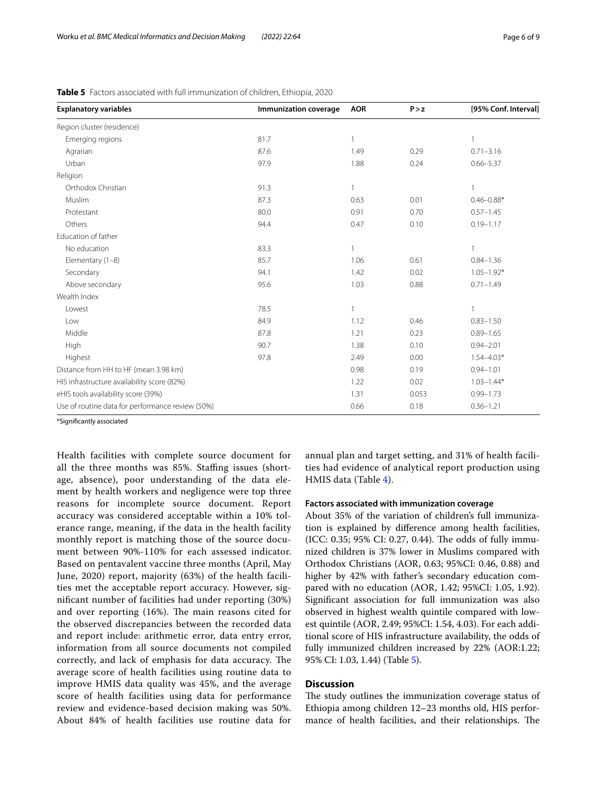| <b>Explanatory variables</b>                     | Immunization coverage | <b>AOR</b>   | P > z | [95% Conf. Interval] |
|--------------------------------------------------|-----------------------|--------------|-------|----------------------|
| Region cluster (residence)                       |                       |              |       |                      |
| Emerging regions                                 | 81.7                  |              |       |                      |
| Agrarian                                         | 87.6                  | 1.49         | 0.29  | $0.71 - 3.16$        |
| Urban                                            | 97.9                  | 1.88         | 0.24  | $0.66 - 5.37$        |
| Religion                                         |                       |              |       |                      |
| Orthodox Christian                               | 91.3                  | $\mathbf{1}$ |       |                      |
| Muslim                                           | 87.3                  | 0.63         | 0.01  | $0.46 - 0.88*$       |
| Protestant                                       | 80.0                  | 0.91         | 0.70  | $0.57 - 1.45$        |
| Others                                           | 94.4                  | 0.47         | 0.10  | $0.19 - 1.17$        |
| Education of father                              |                       |              |       |                      |
| No education                                     | 83.3                  |              |       | $\mathbf{1}$         |
| Elementary (1-8)                                 | 85.7                  | 1.06         | 0.61  | $0.84 - 1.36$        |
| Secondary                                        | 94.1                  | 1.42         | 0.02  | $1.05 - 1.92*$       |
| Above secondary                                  | 95.6                  | 1.03         | 0.88  | $0.71 - 1.49$        |
| Wealth Index                                     |                       |              |       |                      |
| Lowest                                           | 78.5                  | $\mathbf{1}$ |       | $\mathbf{1}$         |
| Low                                              | 84.9                  | 1.12         | 0.46  | $0.83 - 1.50$        |
| Middle                                           | 87.8                  | 1.21         | 0.23  | $0.89 - 1.65$        |
| <b>High</b>                                      | 90.7                  | 1.38         | 0.10  | $0.94 - 2.01$        |
| Highest                                          | 97.8                  | 2.49         | 0.00  | $1.54 - 4.03*$       |
| Distance from HH to HF (mean 3.98 km)            |                       | 0.98         | 0.19  | $0.94 - 1.01$        |
| HIS infrastructure availability score (82%)      |                       | 1.22         | 0.02  | $1.03 - 1.44*$       |
| eHIS tools availability score (39%)              |                       | 1.31         | 0.053 | $0.99 - 1.73$        |
| Use of routine data for performance review (50%) |                       | 0.66         | 0.18  | $0.36 - 1.21$        |

<span id="page-5-0"></span>**Table 5** Factors associated with full immunization of children, Ethiopia, 2020

\*Signifcantly associated

Health facilities with complete source document for all the three months was 85%. Staffing issues (shortage, absence), poor understanding of the data element by health workers and negligence were top three reasons for incomplete source document. Report accuracy was considered acceptable within a 10% tolerance range, meaning, if the data in the health facility monthly report is matching those of the source document between 90%-110% for each assessed indicator. Based on pentavalent vaccine three months (April, May June, 2020) report, majority (63%) of the health facilities met the acceptable report accuracy. However, signifcant number of facilities had under reporting (30%) and over reporting  $(16%)$ . The main reasons cited for the observed discrepancies between the recorded data and report include: arithmetic error, data entry error, information from all source documents not compiled correctly, and lack of emphasis for data accuracy. The average score of health facilities using routine data to improve HMIS data quality was 45%, and the average score of health facilities using data for performance review and evidence-based decision making was 50%. About 84% of health facilities use routine data for annual plan and target setting, and 31% of health facilities had evidence of analytical report production using HMIS data (Table [4](#page-4-1)).

#### **Factors associated with immunization coverage**

About 35% of the variation of children's full immunization is explained by diference among health facilities, (ICC: 0.35; 95% CI: 0.27, 0.44). The odds of fully immunized children is 37% lower in Muslims compared with Orthodox Christians (AOR, 0.63; 95%CI: 0.46, 0.88) and higher by 42% with father's secondary education compared with no education (AOR, 1.42; 95%CI: 1.05, 1.92). Signifcant association for full immunization was also observed in highest wealth quintile compared with lowest quintile (AOR, 2.49; 95%CI: 1.54, 4.03). For each additional score of HIS infrastructure availability, the odds of fully immunized children increased by 22% (AOR:1.22; 95% CI: 1.03, 1.44) (Table [5](#page-5-0)).

# **Discussion**

The study outlines the immunization coverage status of Ethiopia among children 12–23 months old, HIS performance of health facilities, and their relationships. The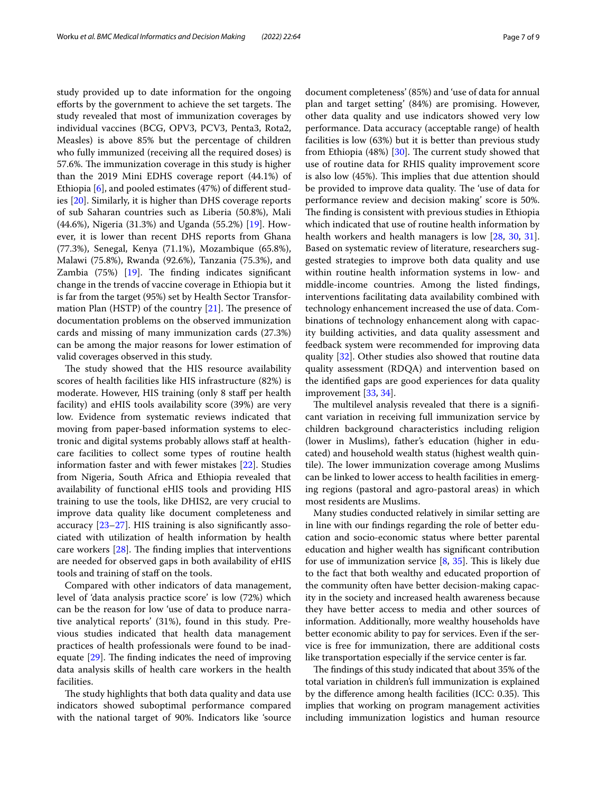study provided up to date information for the ongoing efforts by the government to achieve the set targets. The study revealed that most of immunization coverages by individual vaccines (BCG, OPV3, PCV3, Penta3, Rota2, Measles) is above 85% but the percentage of children who fully immunized (receiving all the required doses) is 57.6%. The immunization coverage in this study is higher than the 2019 Mini EDHS coverage report (44.1%) of Ethiopia [\[6](#page-8-3)], and pooled estimates (47%) of diferent studies [\[20](#page-8-17)]. Similarly, it is higher than DHS coverage reports of sub Saharan countries such as Liberia (50.8%), Mali (44.6%), Nigeria (31.3%) and Uganda (55.2%) [[19\]](#page-8-16). However, it is lower than recent DHS reports from Ghana (77.3%), Senegal, Kenya (71.1%), Mozambique (65.8%), Malawi (75.8%), Rwanda (92.6%), Tanzania (75.3%), and Zambia  $(75%)$  [\[19\]](#page-8-16). The finding indicates significant change in the trends of vaccine coverage in Ethiopia but it is far from the target (95%) set by Health Sector Transformation Plan (HSTP) of the country  $[21]$  $[21]$  $[21]$ . The presence of documentation problems on the observed immunization cards and missing of many immunization cards (27.3%) can be among the major reasons for lower estimation of valid coverages observed in this study.

The study showed that the HIS resource availability scores of health facilities like HIS infrastructure (82%) is moderate. However, HIS training (only 8 staff per health facility) and eHIS tools availability score (39%) are very low. Evidence from systematic reviews indicated that moving from paper-based information systems to electronic and digital systems probably allows staf at healthcare facilities to collect some types of routine health information faster and with fewer mistakes [\[22](#page-8-19)]. Studies from Nigeria, South Africa and Ethiopia revealed that availability of functional eHIS tools and providing HIS training to use the tools, like DHIS2, are very crucial to improve data quality like document completeness and accuracy  $[23-27]$  $[23-27]$ . HIS training is also significantly associated with utilization of health information by health care workers  $[28]$  $[28]$ . The finding implies that interventions are needed for observed gaps in both availability of eHIS tools and training of staff on the tools.

Compared with other indicators of data management, level of 'data analysis practice score' is low (72%) which can be the reason for low 'use of data to produce narrative analytical reports' (31%), found in this study. Previous studies indicated that health data management practices of health professionals were found to be inadequate  $[29]$ . The finding indicates the need of improving data analysis skills of health care workers in the health facilities.

The study highlights that both data quality and data use indicators showed suboptimal performance compared with the national target of 90%. Indicators like 'source document completeness' (85%) and 'use of data for annual plan and target setting' (84%) are promising. However, other data quality and use indicators showed very low performance. Data accuracy (acceptable range) of health facilities is low (63%) but it is better than previous study from Ethiopia  $(48%)$  [[30\]](#page-8-24). The current study showed that use of routine data for RHIS quality improvement score is also low (45%). This implies that due attention should be provided to improve data quality. The 'use of data for performance review and decision making' score is 50%. The finding is consistent with previous studies in Ethiopia which indicated that use of routine health information by health workers and health managers is low [\[28,](#page-8-22) [30,](#page-8-24) [31](#page-8-25)]. Based on systematic review of literature, researchers suggested strategies to improve both data quality and use within routine health information systems in low- and middle-income countries. Among the listed fndings, interventions facilitating data availability combined with technology enhancement increased the use of data. Combinations of technology enhancement along with capacity building activities, and data quality assessment and feedback system were recommended for improving data quality [[32\]](#page-8-26). Other studies also showed that routine data quality assessment (RDQA) and intervention based on the identifed gaps are good experiences for data quality improvement [\[33](#page-8-27), [34\]](#page-8-28).

The multilevel analysis revealed that there is a significant variation in receiving full immunization service by children background characteristics including religion (lower in Muslims), father's education (higher in educated) and household wealth status (highest wealth quintile). The lower immunization coverage among Muslims can be linked to lower access to health facilities in emerging regions (pastoral and agro-pastoral areas) in which most residents are Muslims.

Many studies conducted relatively in similar setting are in line with our fndings regarding the role of better education and socio-economic status where better parental education and higher wealth has signifcant contribution for use of immunization service  $[8, 35]$  $[8, 35]$  $[8, 35]$  $[8, 35]$  $[8, 35]$ . This is likely due to the fact that both wealthy and educated proportion of the community often have better decision-making capacity in the society and increased health awareness because they have better access to media and other sources of information. Additionally, more wealthy households have better economic ability to pay for services. Even if the service is free for immunization, there are additional costs like transportation especially if the service center is far.

The findings of this study indicated that about 35% of the total variation in children's full immunization is explained by the difference among health facilities (ICC: 0.35). This implies that working on program management activities including immunization logistics and human resource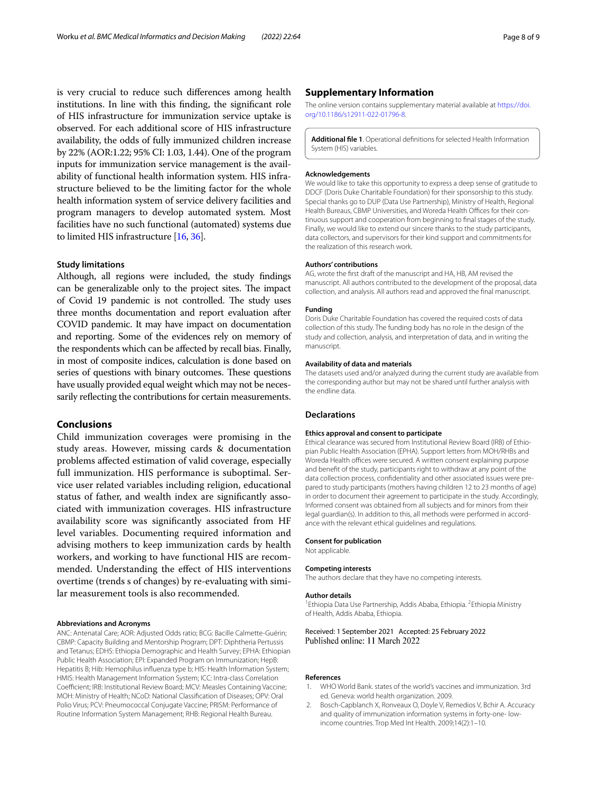is very crucial to reduce such diferences among health institutions. In line with this fnding, the signifcant role of HIS infrastructure for immunization service uptake is observed. For each additional score of HIS infrastructure availability, the odds of fully immunized children increase by 22% (AOR:1.22; 95% CI: 1.03, 1.44). One of the program inputs for immunization service management is the availability of functional health information system. HIS infrastructure believed to be the limiting factor for the whole health information system of service delivery facilities and program managers to develop automated system. Most facilities have no such functional (automated) systems due to limited HIS infrastructure [\[16,](#page-8-13) [36\]](#page-8-30).

#### **Study limitations**

Although, all regions were included, the study fndings can be generalizable only to the project sites. The impact of Covid 19 pandemic is not controlled. The study uses three months documentation and report evaluation after COVID pandemic. It may have impact on documentation and reporting. Some of the evidences rely on memory of the respondents which can be afected by recall bias. Finally, in most of composite indices, calculation is done based on series of questions with binary outcomes. These questions have usually provided equal weight which may not be necessarily reflecting the contributions for certain measurements.

#### **Conclusions**

Child immunization coverages were promising in the study areas. However, missing cards & documentation problems afected estimation of valid coverage, especially full immunization. HIS performance is suboptimal. Service user related variables including religion, educational status of father, and wealth index are signifcantly associated with immunization coverages. HIS infrastructure availability score was signifcantly associated from HF level variables. Documenting required information and advising mothers to keep immunization cards by health workers, and working to have functional HIS are recommended. Understanding the efect of HIS interventions overtime (trends s of changes) by re-evaluating with similar measurement tools is also recommended.

#### **Abbreviations and Acronyms**

ANC: Antenatal Care; AOR: Adjusted Odds ratio; BCG: Bacille Calmette-Guérin; CBMP: Capacity Building and Mentorship Program; DPT: Diphtheria Pertussis and Tetanus; EDHS: Ethiopia Demographic and Health Survey; EPHA: Ethiopian Public Health Association; EPI: Expanded Program on Immunization; HepB: Hepatitis B; Hib: Hemophilus infuenza type b; HIS: Health Information System; HMIS: Health Management Information System; ICC: Intra-class Correlation Coefficient; IRB: Institutional Review Board; MCV: Measles Containing Vaccine; MOH: Ministry of Health; NCoD: National Classifcation of Diseases; OPV: Oral Polio Virus; PCV: Pneumococcal Conjugate Vaccine; PRISM: Performance of Routine Information System Management; RHB: Regional Health Bureau.

#### **Supplementary Information**

The online version contains supplementary material available at [https://doi.](https://doi.org/10.1186/s12911-022-01796-8) [org/10.1186/s12911-022-01796-8](https://doi.org/10.1186/s12911-022-01796-8).

<span id="page-7-2"></span>**Additional fle 1**. Operational defnitions for selected Health Information System (HIS) variables.

#### **Acknowledgements**

We would like to take this opportunity to express a deep sense of gratitude to DDCF (Doris Duke Charitable Foundation) for their sponsorship to this study. Special thanks go to DUP (Data Use Partnership), Ministry of Health, Regional Health Bureaus, CBMP Universities, and Woreda Health Offices for their continuous support and cooperation from beginning to fnal stages of the study. Finally, we would like to extend our sincere thanks to the study participants, data collectors, and supervisors for their kind support and commitments for the realization of this research work.

#### **Authors' contributions**

AG, wrote the frst draft of the manuscript and HA, HB, AM revised the manuscript. All authors contributed to the development of the proposal, data collection, and analysis. All authors read and approved the fnal manuscript.

#### **Funding**

Doris Duke Charitable Foundation has covered the required costs of data collection of this study. The funding body has no role in the design of the study and collection, analysis, and interpretation of data, and in writing the manuscript.

## **Availability of data and materials**

The datasets used and/or analyzed during the current study are available from the corresponding author but may not be shared until further analysis with the endline data.

#### **Declarations**

#### **Ethics approval and consent to participate**

Ethical clearance was secured from Institutional Review Board (IRB) of Ethiopian Public Health Association (EPHA). Support letters from MOH/RHBs and Woreda Health offices were secured. A written consent explaining purpose and beneft of the study, participants right to withdraw at any point of the data collection process, confdentiality and other associated issues were prepared to study participants (mothers having children 12 to 23 months of age) in order to document their agreement to participate in the study. Accordingly, Informed consent was obtained from all subjects and for minors from their legal guardian(s). In addition to this, all methods were performed in accordance with the relevant ethical guidelines and regulations.

#### **Consent for publication**

Not applicable.

#### **Competing interests**

The authors declare that they have no competing interests.

#### **Author details**

<sup>1</sup> Ethiopia Data Use Partnership, Addis Ababa, Ethiopia. <sup>2</sup> Ethiopia Ministry of Health, Addis Ababa, Ethiopia.

Received: 1 September 2021 Accepted: 25 February 2022 Published online: 11 March 2022

#### **References**

- <span id="page-7-0"></span>WHO World Bank. states of the world's vaccines and immunization. 3rd ed. Geneva: world health organization. 2009.
- <span id="page-7-1"></span>2. Bosch-Capblanch X, Ronveaux O, Doyle V, Remedios V, Bchir A. Accuracy and quality of immunization information systems in forty-one- lowincome countries. Trop Med Int Health. 2009;14(2):1–10.